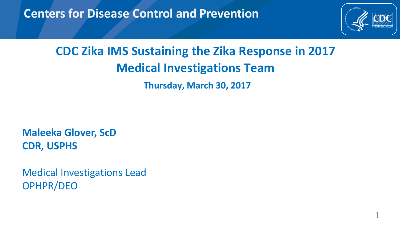#### **Centers for Disease Control and Prevention**



1

### **CDC Zika IMS Sustaining the Zika Response in 2017 Medical Investigations Team Thursday, March 30, 2017**

**Maleeka Glover, ScD CDR, USPHS**

Medical Investigations Lead OPHPR/DEO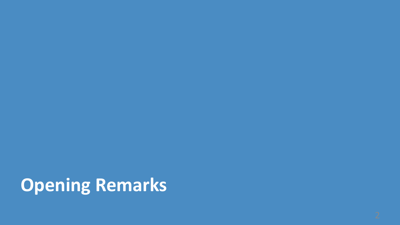# **Opening Remarks**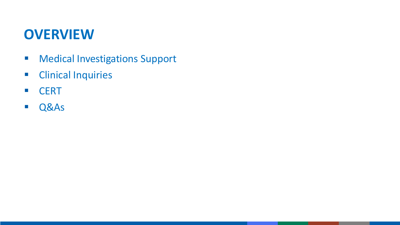### **OVERVIEW**

**Nedical Investigations Support** 

-11

- **Clinical Inquiries**
- CERT
- Q&As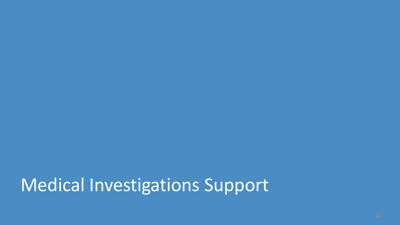## Medical Investigations Support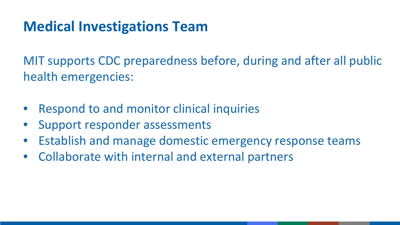## **Medical Investigations Team**

MIT supports CDC preparedness before, during and after all public health emergencies:

- Respond to and monitor clinical inquiries
- Support responder assessments
- Establish and manage domestic emergency response teams
- Collaborate with internal and external partners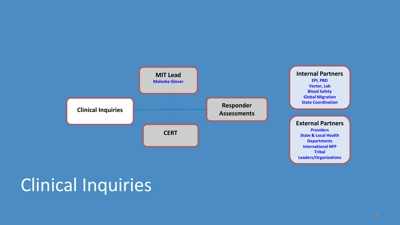

## Clinical Inquiries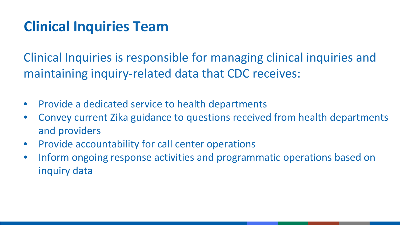## **Clinical Inquiries Team**

Clinical Inquiries is responsible for managing clinical inquiries and maintaining inquiry-related data that CDC receives:

- Provide a dedicated service to health departments
- Convey current Zika guidance to questions received from health departments and providers
- Provide accountability for call center operations
- Inform ongoing response activities and programmatic operations based on inquiry data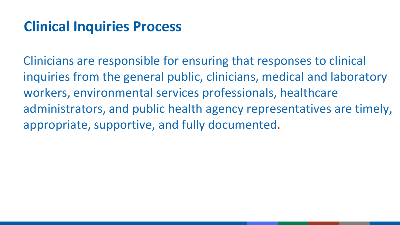## **Clinical Inquiries Process**

Clinicians are responsible for ensuring that responses to clinical inquiries from the general public, clinicians, medical and laboratory workers, environmental services professionals, healthcare administrators, and public health agency representatives are timely, appropriate, supportive, and fully documented.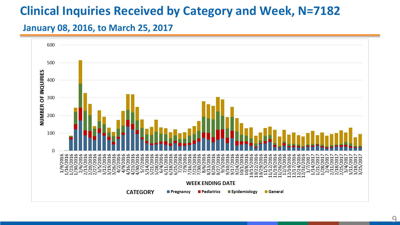#### **Clinical Inquiries Received by Category and Week, N=7182**

#### **January 08, 2016, to March 25, 2017**

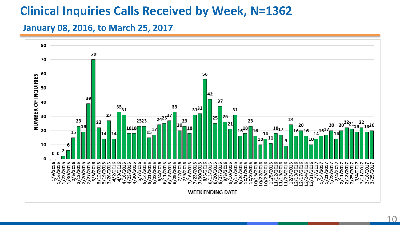### **Clinical Inquiries Calls Received by Week, N=1362**

#### **January 08, 2016, to March 25, 2017**

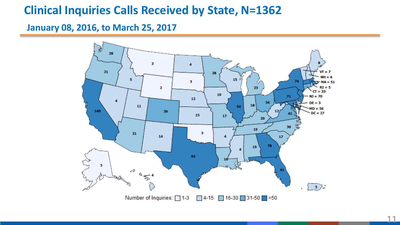#### **Clinical Inquiries Calls Received by State, N=1362**

**January 08, 2016, to March 25, 2017**

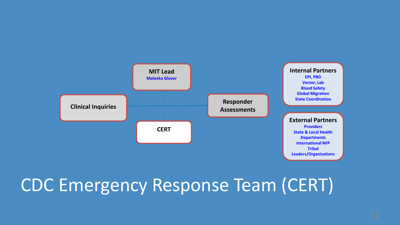

## CDC Emergency Response Team (CERT)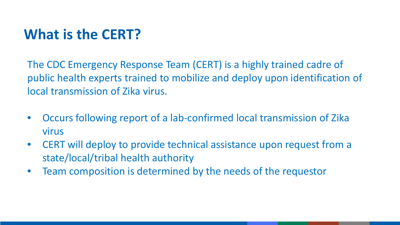## **What is the CERT?**

The CDC Emergency Response Team (CERT) is a highly trained cadre of public health experts trained to mobilize and deploy upon identification of local transmission of Zika virus.

- Occurs following report of a lab-confirmed local transmission of Zika virus
- CERT will deploy to provide technical assistance upon request from a state/local/tribal health authority
- Team composition is determined by the needs of the requestor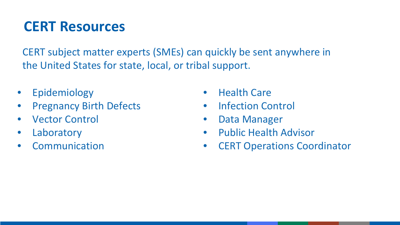## **CERT Resources**

CERT subject matter experts (SMEs) can quickly be sent anywhere in the United States for state, local, or tribal support.

- Epidemiology
- Pregnancy Birth Defects
- Vector Control
- Laboratory
- Communication
- Health Care
- Infection Control
- Data Manager
- Public Health Advisor
- CERT Operations Coordinator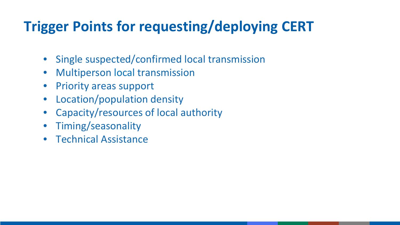## **Trigger Points for requesting/deploying CERT**

- Single suspected/confirmed local transmission
- Multiperson local transmission
- Priority areas support
- Location/population density
- Capacity/resources of local authority
- Timing/seasonality
- Technical Assistance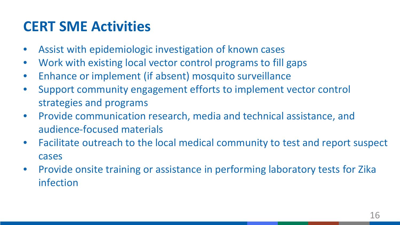## **CERT SME Activities**

- Assist with epidemiologic investigation of known cases
- Work with existing local vector control programs to fill gaps
- Enhance or implement (if absent) mosquito surveillance
- Support community engagement efforts to implement vector control strategies and programs
- Provide communication research, media and technical assistance, and audience-focused materials
- Facilitate outreach to the local medical community to test and report suspect cases
- Provide onsite training or assistance in performing laboratory tests for Zika infection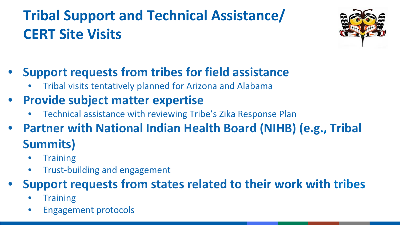## **Tribal Support and Technical Assistance/ CERT Site Visits**



- **Support requests from tribes for field assistance**
	- Tribal visits tentatively planned for Arizona and Alabama
- **Provide subject matter expertise**
	- Technical assistance with reviewing Tribe's Zika Response Plan
- **Partner with National Indian Health Board (NIHB) (e.g., Tribal Summits)**
	- **Training**
	- Trust-building and engagement

### • **Support requests from states related to their work with tribes**

- **Training**
- Engagement protocols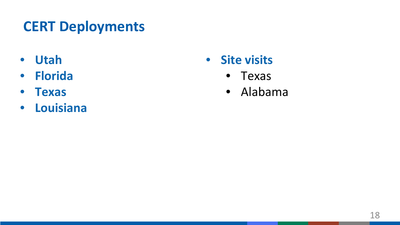## **CERT Deployments**

- **Utah**
- **Florida**
- **Texas**
- **Louisiana**
- **Site visits**
	- Texas
	- Alabama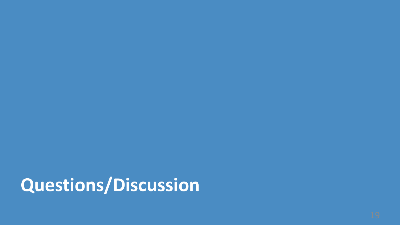**Questions/Discussion**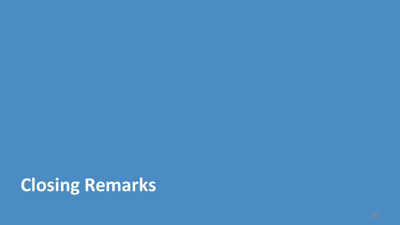# **Closing Remarks**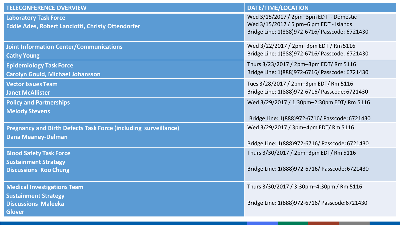| <b>TELECONFERENCE OVERVIEW</b>                                                                                   | DATE/TIME/LOCATION                                                                                                                  |
|------------------------------------------------------------------------------------------------------------------|-------------------------------------------------------------------------------------------------------------------------------------|
| <b>Laboratory Task Force</b><br>Eddie Ades, Robert Lanciotti, Christy Ottendorfer                                | Wed 3/15/2017 / 2pm-3pm EDT - Domestic<br>Wed 3/15/2017 / 5 pm-6 pm EDT - Islands<br>Bridge Line: 1(888)972-6716/ Passcode: 6721430 |
| <b>Joint Information Center/Communications</b>                                                                   | Wed 3/22/2017 / 2pm-3pm EDT / Rm 5116                                                                                               |
| <b>Cathy Young</b>                                                                                               | Bridge Line: 1(888)972-6716/ Passcode: 6721430                                                                                      |
| <b>Epidemiology Task Force</b>                                                                                   | Thurs 3/23/2017 / 2pm-3pm EDT/ Rm 5116                                                                                              |
| <b>Carolyn Gould, Michael Johansson</b>                                                                          | Bridge Line: 1(888)972-6716/ Passcode: 6721430                                                                                      |
| <b>Vector Issues Team</b>                                                                                        | Tues 3/28/2017 / 2pm-3pm EDT/ Rm 5116                                                                                               |
| <b>Janet McAllister</b>                                                                                          | Bridge Line: 1(888)972-6716/ Passcode: 6721430                                                                                      |
| <b>Policy and Partnerships</b>                                                                                   | Wed 3/29/2017 / 1:30pm-2:30pm EDT/ Rm 5116                                                                                          |
| <b>Melody Stevens</b>                                                                                            | Bridge Line: 1(888)972-6716/ Passcode: 6721430                                                                                      |
| Pregnancy and Birth Defects Task Force (including surveillance)                                                  | Wed 3/29/2017 / 3pm-4pm EDT/ Rm 5116                                                                                                |
| <b>Dana Meaney-Delman</b>                                                                                        | Bridge Line: 1(888)972-6716/ Passcode: 6721430                                                                                      |
| <b>Blood Safety Task Force</b><br><b>Sustainment Strategy</b><br><b>Discussions Koo Chung</b>                    | Thurs 3/30/2017 / 2pm-3pm EDT/ Rm 5116<br>Bridge Line: 1(888)972-6716/ Passcode: 6721430                                            |
| <b>Medical Investigations Team</b><br><b>Sustainment Strategy</b><br><b>Discussions Maleeka</b><br><b>Glover</b> | Thurs 3/30/2017 / 3:30pm-4:30pm / Rm 5116<br>Bridge Line: 1(888)972-6716/ Passcode: 6721430                                         |